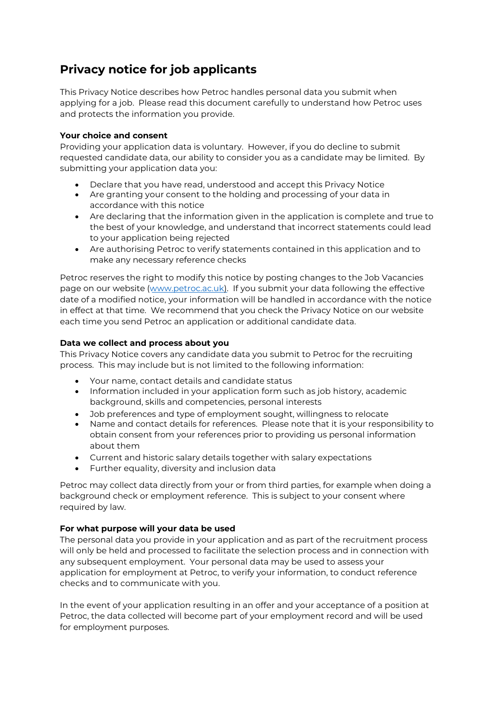# **Privacy notice for job applicants**

This Privacy Notice describes how Petroc handles personal data you submit when applying for a job. Please read this document carefully to understand how Petroc uses and protects the information you provide.

## **Your choice and consent**

Providing your application data is voluntary. However, if you do decline to submit requested candidate data, our ability to consider you as a candidate may be limited. By submitting your application data you:

- Declare that you have read, understood and accept this Privacy Notice
- Are granting your consent to the holding and processing of your data in accordance with this notice
- Are declaring that the information given in the application is complete and true to the best of your knowledge, and understand that incorrect statements could lead to your application being rejected
- Are authorising Petroc to verify statements contained in this application and to make any necessary reference checks

Petroc reserves the right to modify this notice by posting changes to the Job Vacancies page on our website [\(www.petroc.ac.uk\)](http://www.petroc.ac.uk/). If you submit your data following the effective date of a modified notice, your information will be handled in accordance with the notice in effect at that time. We recommend that you check the Privacy Notice on our website each time you send Petroc an application or additional candidate data.

## **Data we collect and process about you**

This Privacy Notice covers any candidate data you submit to Petroc for the recruiting process. This may include but is not limited to the following information:

- Your name, contact details and candidate status
- Information included in your application form such as job history, academic background, skills and competencies, personal interests
- Job preferences and type of employment sought, willingness to relocate
- Name and contact details for references. Please note that it is your responsibility to obtain consent from your references prior to providing us personal information about them
- Current and historic salary details together with salary expectations
- Further equality, diversity and inclusion data

Petroc may collect data directly from your or from third parties, for example when doing a background check or employment reference. This is subject to your consent where required by law.

## **For what purpose will your data be used**

The personal data you provide in your application and as part of the recruitment process will only be held and processed to facilitate the selection process and in connection with any subsequent employment. Your personal data may be used to assess your application for employment at Petroc, to verify your information, to conduct reference checks and to communicate with you.

In the event of your application resulting in an offer and your acceptance of a position at Petroc, the data collected will become part of your employment record and will be used for employment purposes.